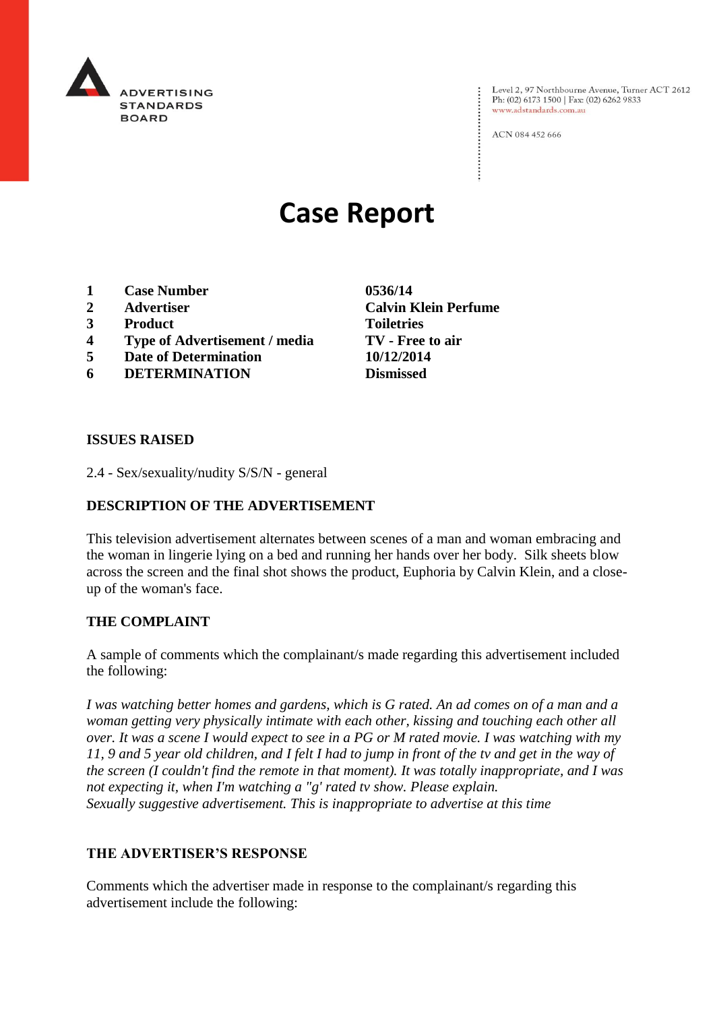

Level 2, 97 Northbourne Avenue, Turner ACT 2612<br>Ph: (02) 6173 1500 | Fax: (02) 6262 9833 www.adstandards.com.au

ACN 084 452 666

# **Case Report**

- **1 Case Number 0536/14**
- 
- **3 Product Toiletries**
- **4 Type of Advertisement / media TV - Free to air**
- **5 Date of Determination 10/12/2014**
- **6 DETERMINATION Dismissed**

**2 Advertiser Calvin Klein Perfume**

#### **ISSUES RAISED**

2.4 - Sex/sexuality/nudity S/S/N - general

### **DESCRIPTION OF THE ADVERTISEMENT**

This television advertisement alternates between scenes of a man and woman embracing and the woman in lingerie lying on a bed and running her hands over her body. Silk sheets blow across the screen and the final shot shows the product, Euphoria by Calvin Klein, and a closeup of the woman's face.

#### **THE COMPLAINT**

A sample of comments which the complainant/s made regarding this advertisement included the following:

*I was watching better homes and gardens, which is G rated. An ad comes on of a man and a woman getting very physically intimate with each other, kissing and touching each other all over. It was a scene I would expect to see in a PG or M rated movie. I was watching with my 11, 9 and 5 year old children, and I felt I had to jump in front of the tv and get in the way of the screen (I couldn't find the remote in that moment). It was totally inappropriate, and I was not expecting it, when I'm watching a "g' rated tv show. Please explain. Sexually suggestive advertisement. This is inappropriate to advertise at this time*

#### **THE ADVERTISER'S RESPONSE**

Comments which the advertiser made in response to the complainant/s regarding this advertisement include the following: